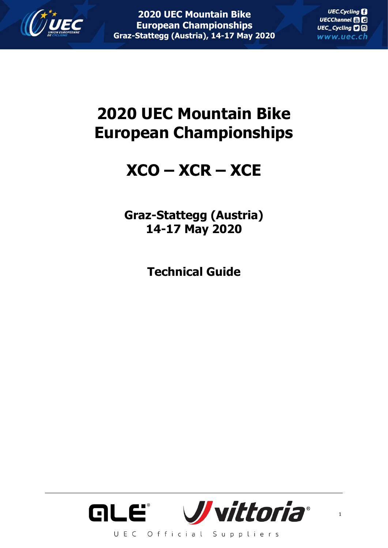

**UEC.Cycling** UECChannel HD UEC\_Cycling **口**回 www.uec.ch

# **2020 UEC Mountain Bike European Championships**

## **XCO – XCR – XCE**

**Graz-Stattegg (Austria) 14-17 May 2020**

**Technical Guide**

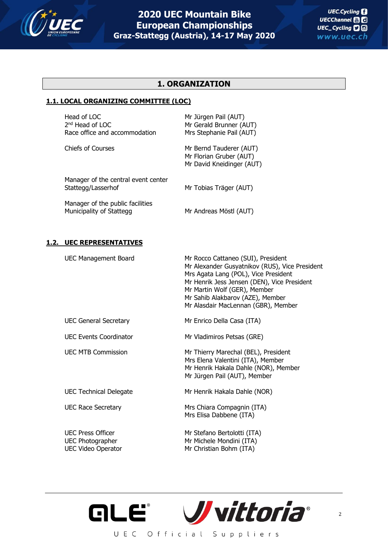

### **1. ORGANIZATION**

### **1.1. LOCAL ORGANIZING COMMITTEE (LOC)**

Head of LOC Mr Jürgen Pail (AUT) 2<sup>nd</sup> Head of LOC Race office and accommodation Mrs Stephanie Pail (AUT)

Mr Gerald Brunner (AUT)

Chiefs of Courses Mr Bernd Tauderer (AUT) Mr Florian Gruber (AUT) Mr David Kneidinger (AUT)

Manager of the central event center Stattegg/Lasserhof Mr Tobias Träger (AUT)

Manager of the public facilities Municipality of Stattegg Mr Andreas Möstl (AUT)

### **1.2. UEC REPRESENTATIVES**

UEC Management Board Mr Rocco Cattaneo (SUI), President Mr Alexander Gusyatnikov (RUS), Vice President Mrs Agata Lang (POL), Vice President Mr Henrik Jess Jensen (DEN), Vice President Mr Martin Wolf (GER), Member Mr Sahib Alakbarov (AZE), Member Mr Alasdair MacLennan (GBR), Member UEC General Secretary Mr Enrico Della Casa (ITA) UEC Events Coordinator Mr Vladimiros Petsas (GRE) UEC MTB Commission Mr Thierry Marechal (BEL), President Mrs Elena Valentini (ITA), Member Mr Henrik Hakala Dahle (NOR), Member Mr Jürgen Pail (AUT), Member UEC Technical Delegate Mr Henrik Hakala Dahle (NOR) UEC Race Secretary Mrs Chiara Compagnin (ITA) Mrs Elisa Dabbene (ITA) UEC Press Officer Mr Stefano Bertolotti (ITA) UEC Photographer Mr Michele Mondini (ITA) UEC Video Operator Mr Christian Bohm (ITA)

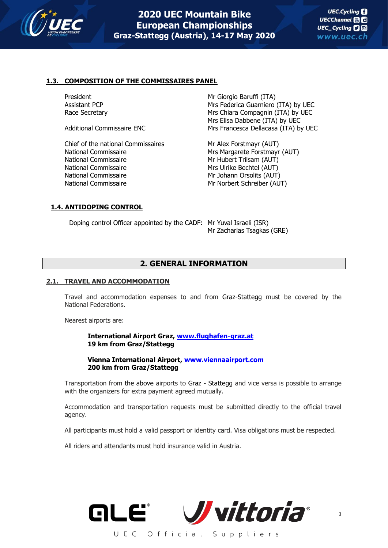

### **1.3. COMPOSITION OF THE COMMISSAIRES PANEL**

Chief of the national Commissaires The Mr Alex Forstmayr (AUT) National Commissaire **Mrs Margarete Forstmayr (AUT)** National Commissaire Mr Hubert Trilsam (AUT) National Commissaire Mrs Ulrike Bechtel (AUT) National Commissaire Mr Johann Orsolits (AUT) National Commissaire Mr Norbert Schreiber (AUT)

President Mr Giorgio Baruffi (ITA) Assistant PCP **Mrs Federica Guarniero (ITA)** by UEC Race Secretary **Mrs Chiara Compagnin (ITA)** by UEC Mrs Elisa Dabbene (ITA) by UEC Additional Commissaire ENC Mrs Francesca Dellacasa (ITA) by UEC

### **1.4. ANTIDOPING CONTROL**

Doping control Officer appointed by the CADF: Mr Yuval Israeli (ISR)

Mr Zacharias Tsagkas (GRE)

### **2. GENERAL INFORMATION**

### **2.1. TRAVEL AND ACCOMMODATION**

Travel and accommodation expenses to and from Graz-Stattegg must be covered by the National Federations.

Nearest airports are:

**International Airport Graz, [www.flughafen-graz.at](http://www.flughafen-graz.at/) 19 km from Graz/Stattegg**

**Vienna International Airport, [www.viennaairport.com](http://www.viennaairport.com/) 200 km from Graz/Stattegg**

Transportation from the above airports to Graz - Stattegg and vice versa is possible to arrange with the organizers for extra payment agreed mutually.

Accommodation and transportation requests must be submitted directly to the official travel agency.

All participants must hold a valid passport or identity card. Visa obligations must be respected.

All riders and attendants must hold insurance valid in Austria.

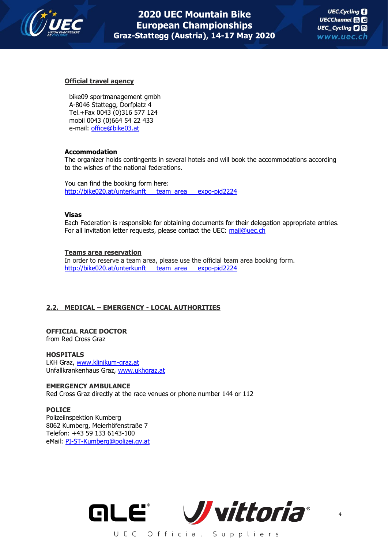

4

### **Official travel agency**

bike09 sportmanagement gmbh A-8046 Stattegg, Dorfplatz 4 Tel.+Fax 0043 (0)316 577 124 mobil 0043 (0)664 54 22 433 e-mail: [office@bike03.at](mailto:office@bike03.at)

### **Accommodation**

The organizer holds contingents in several hotels and will book the accommodations according to the wishes of the national federations.

You can find the booking form here: [http://bike020.at/unterkunft\\_\\_\\_team\\_area\\_\\_\\_expo-pid2224](http://bike020.at/unterkunft___team_area___expo-pid2224)

### **Visas**

Each Federation is responsible for obtaining documents for their delegation appropriate entries. For all invitation letter requests, please contact the UEC: [mail@uec.ch](mailto:mail@uec.ch) 

### **Teams area reservation**

In order to reserve a team area, please use the official team area booking form. http://bike020.at/unterkunft team\_area\_\_\_expo-pid2224

### **2.2. MEDICAL – EMERGENCY - LOCAL AUTHORITIES**

### **OFFICIAL RACE DOCTOR**  from Red Cross Graz

### **HOSPITALS**

LKH Graz, [www.klinikum-graz.at](http://www.klinikum-graz.at/) Unfallkrankenhaus Graz, [www.ukhgraz.at](http://www.ukhgraz.at/)

### **EMERGENCY AMBULANCE**

Red Cross Graz directly at the race venues or phone number 144 or 112

### **POLICE**

Polizeiinspektion Kumberg 8062 Kumberg, Meierhöfenstraße 7 Telefon: +43 59 133 6143-100 eMail: [PI-ST-Kumberg@polizei.gv.at](mailto:PI-ST-Kumberg@polizei.gv.at)

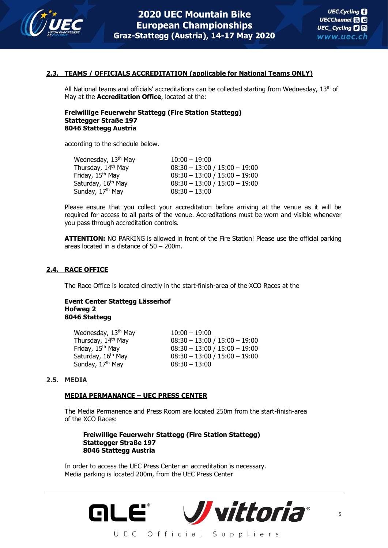

### **2.3. TEAMS / OFFICIALS ACCREDITATION (applicable for National Teams ONLY)**

All National teams and officials' accreditations can be collected starting from Wednesday,  $13<sup>th</sup>$  of May at the **Accreditation Office**, located at the:

### **Freiwillige Feuerwehr Stattegg (Fire Station Stattegg) Stattegger Straße 197 8046 Stattegg Austria**

according to the schedule below.

| Wednesday, 13 <sup>th</sup> May | $10:00 - 19:00$                 |
|---------------------------------|---------------------------------|
| Thursday, 14th May              | $08:30 - 13:00 / 15:00 - 19:00$ |
| Friday, 15 <sup>th</sup> May    | $08:30 - 13:00 / 15:00 - 19:00$ |
| Saturday, 16th May              | $08:30 - 13:00 / 15:00 - 19:00$ |
| Sunday, 17 <sup>th</sup> May    | $08:30 - 13:00$                 |

Please ensure that you collect your accreditation before arriving at the venue as it will be required for access to all parts of the venue. Accreditations must be worn and visible whenever you pass through accreditation controls.

**ATTENTION:** NO PARKING is allowed in front of the Fire Station! Please use the official parking areas located in a distance of 50 – 200m.

### **2.4. RACE OFFICE**

The Race Office is located directly in the start-finish-area of the XCO Races at the

### **Event Center Stattegg Lässerhof Hofweg 2 8046 Stattegg**

| $10:00 - 19:00$                 |
|---------------------------------|
| $08:30 - 13:00 / 15:00 - 19:00$ |
| $08:30 - 13:00 / 15:00 - 19:00$ |
| $08:30 - 13:00 / 15:00 - 19:00$ |
| $08:30 - 13:00$                 |
|                                 |

### **2.5. MEDIA**

### **MEDIA PERMANANCE – UEC PRESS CENTER**

The Media Permanence and Press Room are located 250m from the start-finish-area of the XCO Races:

### **Freiwillige Feuerwehr Stattegg (Fire Station Stattegg) Stattegger Straße 197 8046 Stattegg Austria**

In order to access the UEC Press Center an accreditation is necessary. Media parking is located 200m, from the UEC Press Center

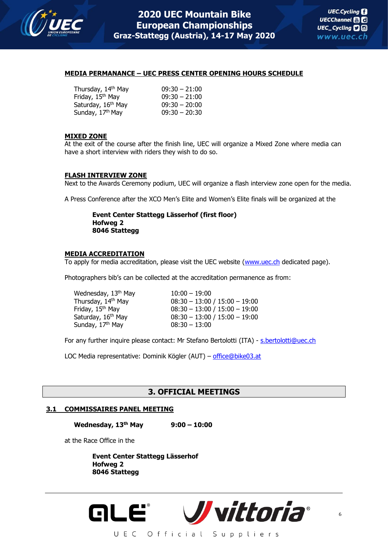

### **MEDIA PERMANANCE – UEC PRESS CENTER OPENING HOURS SCHEDULE**

| $09:30 - 21:00$ |
|-----------------|
| $09:30 - 21:00$ |
| $09:30 - 20:00$ |
| $09:30 - 20:30$ |
|                 |

### **MIXED ZONE**

At the exit of the course after the finish line, UEC will organize a Mixed Zone where media can have a short interview with riders they wish to do so.

### **FLASH INTERVIEW ZONE**

Next to the Awards Ceremony podium, UEC will organize a flash interview zone open for the media.

A Press Conference after the XCO Men's Elite and Women's Elite finals will be organized at the

### **Event Center Stattegg Lässerhof (first floor) Hofweg 2 8046 Stattegg**

### **MEDIA ACCREDITATION**

To apply for media accreditation, please visit the UEC website [\(www.uec.ch](http://www.uec.ch/) dedicated page).

Photographers bib's can be collected at the accreditation permanence as from:

| Wednesday, 13 <sup>th</sup> May | $10:00 - 19:00$                 |
|---------------------------------|---------------------------------|
| Thursday, 14 <sup>th</sup> May  | $08:30 - 13:00 / 15:00 - 19:00$ |
| Friday, 15 <sup>th</sup> May    | $08:30 - 13:00 / 15:00 - 19:00$ |
| Saturday, 16 <sup>th</sup> May  | $08:30 - 13:00 / 15:00 - 19:00$ |
| Sunday, 17 <sup>th</sup> May    | $08:30 - 13:00$                 |
|                                 |                                 |

For any further inquire please contact: Mr Stefano Bertolotti (ITA) - s.bertolotti@uec.ch

LOC Media representative: Dominik Kögler (AUT) – [office@bike03.at](mailto:office@bike03.at)

### **3. OFFICIAL MEETINGS**

### **3.1 COMMISSAIRES PANEL MEETING**

**Wednesday, 13th May 9:00 – 10:00**

at the Race Office in the

**Event Center Stattegg Lässerhof Hofweg 2 8046 Stattegg**

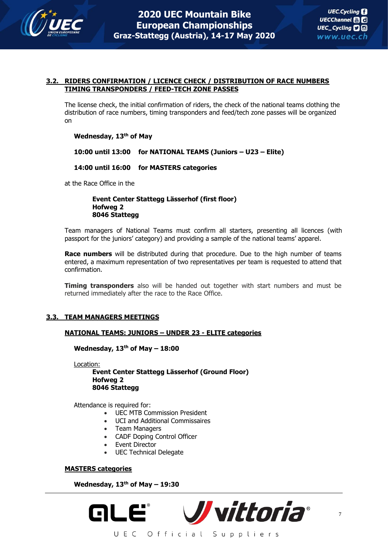

### **3.2. RIDERS CONFIRMATION / LICENCE CHECK / DISTRIBUTION OF RACE NUMBERS TIMING TRANSPONDERS / FEED-TECH ZONE PASSES**

The license check, the initial confirmation of riders, the check of the national teams clothing the distribution of race numbers, timing transponders and feed/tech zone passes will be organized on

### **Wednesday, 13th of May**

**10:00 until 13:00 for NATIONAL TEAMS (Juniors – U23 – Elite)**

### **14:00 until 16:00 for MASTERS categories**

at the Race Office in the

### **Event Center Stattegg Lässerhof (first floor) Hofweg 2 8046 Stattegg**

Team managers of National Teams must confirm all starters, presenting all licences (with passport for the juniors' category) and providing a sample of the national teams' apparel.

**Race numbers** will be distributed during that procedure. Due to the high number of teams entered, a maximum representation of two representatives per team is requested to attend that confirmation.

**Timing transponders** also will be handed out together with start numbers and must be returned immediately after the race to the Race Office.

### **3.3. TEAM MANAGERS MEETINGS**

### **NATIONAL TEAMS: JUNIORS – UNDER 23 - ELITE categories**

**Wednesday, 13th of May – 18:00**

Location:

**Event Center Stattegg Lässerhof (Ground Floor) Hofweg 2 8046 Stattegg**

Attendance is required for:

- UEC MTB Commission President
- UCI and Additional Commissaires
- Team Managers
- CADF Doping Control Officer
- Event Director
- UEC Technical Delegate

### **MASTERS categories**

**Wednesday, 13th of May – 19:30**

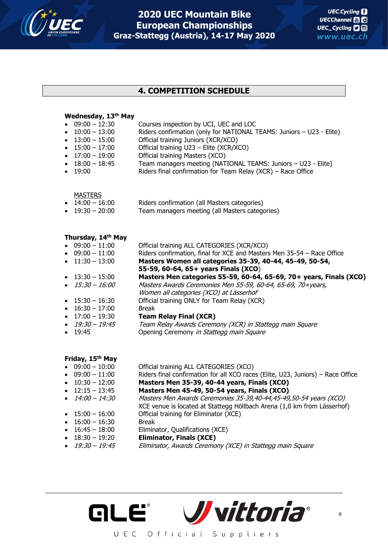

### **4. COMPETITION SCHEDULE**

| $\bullet$ | Wednesday, 13th May<br>$09:00 - 12:30$<br>$\bullet$ 10:00 - 13:00<br>$\bullet$ 13:00 - 15:00<br>$\bullet$ 15:00 - 17:00<br>$\bullet$ 17:00 - 19:00<br>$\bullet$ 18:00 - 18:45<br>• 19:00                                                                                                   | Courses inspection by UCI, UEC and LOC<br>Riders confirmation (only for NATIONAL TEAMS: Juniors - U23 - Elite)<br>Official training Juniors (XCR/XCO)<br>Official training U23 - Elite (XCR/XCO)<br>Official training Masters (XCO)<br>Team managers meeting (NATIONAL TEAMS: Juniors - U23 - Elite)<br>Riders final confirmation for Team Relay (XCR) - Race Office                                                                                                                                                                                                                                               |
|-----------|--------------------------------------------------------------------------------------------------------------------------------------------------------------------------------------------------------------------------------------------------------------------------------------------|--------------------------------------------------------------------------------------------------------------------------------------------------------------------------------------------------------------------------------------------------------------------------------------------------------------------------------------------------------------------------------------------------------------------------------------------------------------------------------------------------------------------------------------------------------------------------------------------------------------------|
|           | <b>MASTERS</b><br>$\bullet$ 14:00 - 16:00<br>$\bullet$ 19:30 - 20:00                                                                                                                                                                                                                       | Riders confirmation (all Masters categories)<br>Team managers meeting (all Masters categories)                                                                                                                                                                                                                                                                                                                                                                                                                                                                                                                     |
|           | Thursday, 14 <sup>th</sup> May<br>$\bullet$ 09:00 - 11:00<br>$\bullet$ 09:00 - 11:00<br>$\bullet$ 11:30 - 13:00<br>$\bullet$ 13:30 - 15:00<br>$\bullet$ 15:30 - 16:00<br>$\bullet$ 15:30 - 16:30<br>$\bullet$ 16:30 - 17:00<br>$\bullet$ 17:00 - 19:30<br>19:30 – 19:45<br>$\bullet$ 19:45 | Official training ALL CATEGORIES (XCR/XCO)<br>Riders confirmation, final for XCE and Masters Men 35-54 - Race Office<br>Masters Women all categories 35-39, 40-44, 45-49, 50-54,<br>55-59, 60-64, 65+ years Finals (XCO)<br>Masters Men categories 55-59, 60-64, 65-69, 70+ years, Finals (XCO)<br>Masters Awards Ceremonies Men 55-59, 60-64, 65-69, 70+years,<br>Women all categories (XCO) at Lässerhof<br>Official training ONLY for Team Relay (XCR)<br><b>Break</b><br><b>Team Relay Final (XCR)</b><br>Team Relay Awards Ceremony (XCR) in Stattegg main Square<br>Opening Ceremony in Stattegg main Square |
|           | Friday, 15th May<br>$\bullet$ 09:00 - 10:00<br>$\bullet$ 09:00 - 11:00<br>$\bullet$ 10:30 - 12:00                                                                                                                                                                                          | Official training ALL CATEGORIES (XCO)<br>Riders final confirmation for all XCO races (Elite, U23, Juniors) - Race Office<br>Masters Men 35-39, 40-44 years, Finals (XCO)                                                                                                                                                                                                                                                                                                                                                                                                                                          |

- 12:15 13:45 **Masters Men 45-49, 50-54 years, Finals (XCO)**
- 14:00 14:30 Masters Men Awards Ceremonies 35-39,40-44,45-49,50-54 years (XCO) XCE venue is located at Stattegg Höllbach Arena (1,0 km from Lässerhof) • 15:00 – 16:00 Official training for Eliminator (XCE)
- 
- 16:00 16:30 Break
- 16:45 18:00 Eliminator, Qualifications (XCE)
	- 18:30 19:20 **Eliminator, Finals (XCE)**
- 
- 19:30 19:45 Eliminator, Awards Ceremony (XCE) in Stattegg main Square

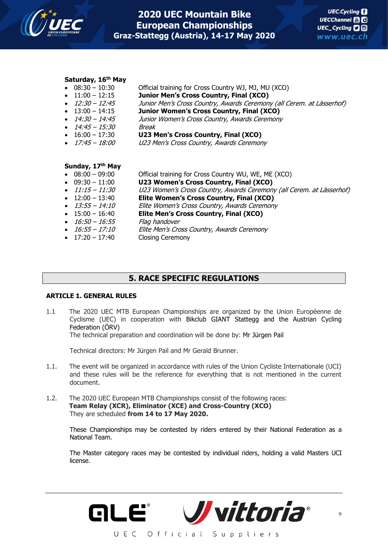

## **Saturday, 16th May**

| יטכ.ט⊥ − טכ.סט          | <b>UTICIAL GRIFFILM</b> TOL CLOSS COUTLEY WJ, MU (ACU)                |
|-------------------------|-----------------------------------------------------------------------|
| • $11:00 - 12:15$       | Junior Men's Cross Country, Final (XCO)                               |
| $\bullet$ 12:30 - 12:45 | Junior Men's Cross Country, Awards Ceremony (all Cerem. at Lässerhof) |
| $\bullet$ 13:00 - 14:15 | Junior Women's Cross Country, Final (XCO)                             |
| $\bullet$ 14:30 - 14:45 | Junior Women's Cross Country, Awards Ceremony                         |
| $\bullet$ 14:45 - 15:30 | Break                                                                 |
| $\bullet$ 16:00 - 17:30 | U23 Men's Cross Country, Final (XCO)                                  |
| $\bullet$ 17:45 - 18:00 | U23 Men's Cross Country, Awards Ceremony                              |
|                         |                                                                       |
|                         |                                                                       |

 $O(fisirl transition for Cross Continuity (M1)$  MJ, MU (XCO)

### **Sunday, 17th May**

| Official training for Cross Country WU, WE, ME (XCO)                 |
|----------------------------------------------------------------------|
| U23 Women's Cross Country, Final (XCO)                               |
| U23 Women's Cross Country, Awards Ceremony (all Cerem. at Lässerhof) |
| Elite Women's Cross Country, Final (XCO)                             |
| Elite Women's Cross Country, Awards Ceremony                         |
| Elite Men's Cross Country, Final (XCO)                               |
| Flag handover                                                        |
| Elite Men's Cross Country, Awards Ceremony                           |
| <b>Closing Ceremony</b>                                              |
|                                                                      |

### **5. RACE SPECIFIC REGULATIONS**

### **ARTICLE 1. GENERAL RULES**

1.1 The 2020 UEC MTB European Championships are organized by the Union Européenne de Cyclisme (UEC) in cooperation with Bikclub GIANT Stattegg and the Austrian Cycling Federation (ÖRV)

The technical preparation and coordination will be done by: Mr Jürgen Pail

Technical directors: Mr Jürgen Pail and Mr Gerald Brunner.

- 1.1. The event will be organized in accordance with rules of the Union Cycliste Internationale (UCI) and these rules will be the reference for everything that is not mentioned in the current document.
- 1.2. The 2020 UEC European MTB Championships consist of the following races: **Team Relay (XCR), Eliminator (XCE) and Cross-Country (XCO)** They are scheduled **from 14 to 17 May 2020.**

These Championships may be contested by riders entered by their National Federation as a National Team.

The Master category races may be contested by individual riders, holding a valid Masters UCI license.



UEC Official Suppliers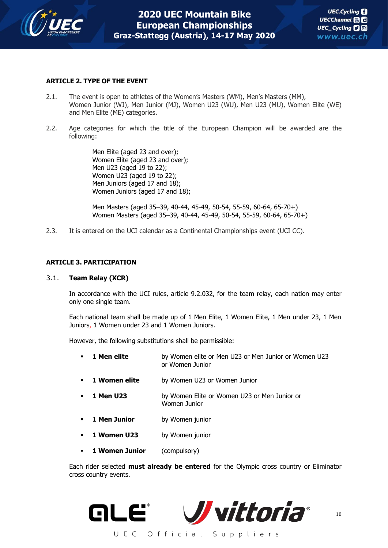

### **ARTICLE 2. TYPE OF THE EVENT**

- 2.1. The event is open to athletes of the Women's Masters (WM), Men's Masters (MM), Women Junior (WJ), Men Junior (MJ), Women U23 (WU), Men U23 (MU), Women Elite (WE) and Men Elite (ME) categories.
- 2.2. Age categories for which the title of the European Champion will be awarded are the following:

Men Elite (aged 23 and over); Women Elite (aged 23 and over); Men U23 (aged 19 to 22); Women U23 (aged 19 to 22); Men Juniors (aged 17 and 18); Women Juniors (aged 17 and 18);

Men Masters (aged 35–39, 40-44, 45-49, 50-54, 55-59, 60-64, 65-70+) Women Masters (aged 35–39, 40-44, 45-49, 50-54, 55-59, 60-64, 65-70+)

2.3. It is entered on the UCI calendar as a Continental Championships event (UCI CC).

### **ARTICLE 3. PARTICIPATION**

### 3.1. **Team Relay (XCR)**

In accordance with the UCI rules, article 9.2.032, for the team relay, each nation may enter only one single team.

Each national team shall be made up of 1 Men Elite, 1 Women Elite, 1 Men under 23, 1 Men Juniors, 1 Women under 23 and 1 Women Juniors.

However, the following substitutions shall be permissible:

- **1 Men elite** by Women elite or Men U23 or Men Junior or Women U23 or Women Junior
- **1 Women elite** by Women U23 or Women Junior
- **1 Men U23** by Women Elite or Women U23 or Men Junior or Women Junior
- **1 Men Junior** by Women junior
- **1 Women U23** by Women junior
- 1 **Women Junior** (compulsory)

Each rider selected **must already be entered** for the Olympic cross country or Eliminator cross country events.

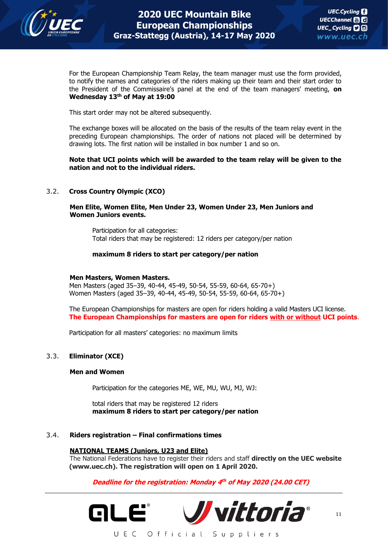

For the European Championship Team Relay, the team manager must use the form provided, to notify the names and categories of the riders making up their team and their start order to the President of the Commissaire's panel at the end of the team managers' meeting, **on Wednesday 13th of May at 19:00**

This start order may not be altered subsequently.

The exchange boxes will be allocated on the basis of the results of the team relay event in the preceding European championships. The order of nations not placed will be determined by drawing lots. The first nation will be installed in box number 1 and so on.

**Note that UCI points which will be awarded to the team relay will be given to the nation and not to the individual riders.**

### 3.2. **Cross Country Olympic (XCO)**

**Men Elite, Women Elite, Men Under 23, Women Under 23, Men Juniors and Women Juniors events.**

Participation for all categories: Total riders that may be registered: 12 riders per category/per nation

### **maximum 8 riders to start per category/per nation**

### **Men Masters, Women Masters.**

Men Masters (aged 35–39, 40-44, 45-49, 50-54, 55-59, 60-64, 65-70+) Women Masters (aged 35–39, 40-44, 45-49, 50-54, 55-59, 60-64, 65-70+)

The European Championships for masters are open for riders holding a valid Masters UCI license. **The European Championships for masters are open for riders with or without UCI points**.

Participation for all masters' categories: no maximum limits

### 3.3. **Eliminator (XCE)**

### **Men and Women**

Participation for the categories ME, WE, MU, WU, MJ, WJ:

total riders that may be registered 12 riders **maximum 8 riders to start per category/per nation**

### 3.4. **Riders registration – Final confirmations times**

### **NATIONAL TEAMS (Juniors, U23 and Elite)**

The National Federations have to register their riders and staff **directly on the UEC website (www.uec.ch). The registration will open on 1 April 2020.** 

**Deadline for the registration: Monday 4 th of May 2020 (24.00 CET)**

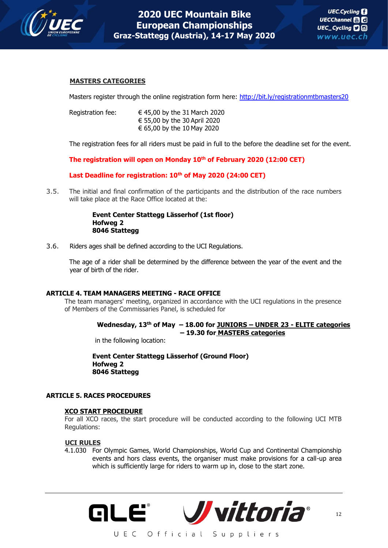

### **MASTERS CATEGORIES**

Masters register through the online registration form here: <http://bit.ly/registrationmtbmasters20>

| Registration fee: | € 45,00 by the 31 March 2020 |
|-------------------|------------------------------|
|                   | € 55,00 by the 30 April 2020 |
|                   | € 65,00 by the 10 May 2020   |

The registration fees for all riders must be paid in full to the before the deadline set for the event.

**The registration will open on Monday 10th of February 2020 (12:00 CET)**

**Last Deadline for registration: 10th of May 2020 (24:00 CET)**

3.5. The initial and final confirmation of the participants and the distribution of the race numbers will take place at the Race Office located at the:

### **Event Center Stattegg Lässerhof (1st floor) Hofweg 2 8046 Stattegg**

3.6. Riders ages shall be defined according to the UCI Regulations.

The age of a rider shall be determined by the difference between the year of the event and the year of birth of the rider.

### **ARTICLE 4. TEAM MANAGERS MEETING - RACE OFFICE**

The team managers' meeting, organized in accordance with the UCI regulations in the presence of Members of the Commissaries Panel, is scheduled for

### **Wednesday, 13th of May – 18.00 for JUNIORS – UNDER 23 - ELITE categories – 19.30 for MASTERS categories**

in the following location:

**Event Center Stattegg Lässerhof (Ground Floor) Hofweg 2 8046 Stattegg**

### **ARTICLE 5. RACES PROCEDURES**

### **XCO START PROCEDURE**

For all XCO races, the start procedure will be conducted according to the following UCI MTB Regulations:

### **UCI RULES**

4.1.030 For Olympic Games, World Championships, World Cup and Continental Championship events and hors class events, the organiser must make provisions for a call-up area which is sufficiently large for riders to warm up in, close to the start zone.

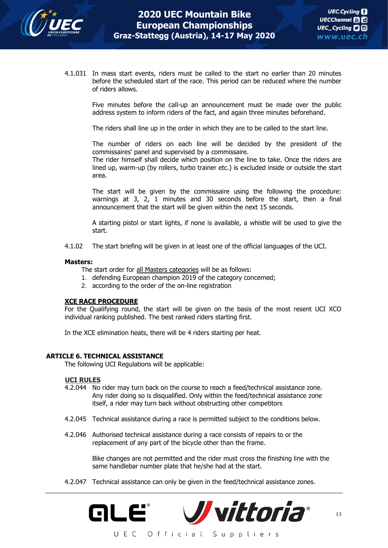

4.1.031 In mass start events, riders must be called to the start no earlier than 20 minutes before the scheduled start of the race. This period can be reduced where the number of riders allows.

> Five minutes before the call-up an announcement must be made over the public address system to inform riders of the fact, and again three minutes beforehand.

The riders shall line up in the order in which they are to be called to the start line.

The number of riders on each line will be decided by the president of the commissaires' panel and supervised by a commissaire.

The rider himself shall decide which position on the line to take. Once the riders are lined up, warm-up (by rollers, turbo trainer etc.) is excluded inside or outside the start area.

The start will be given by the commissaire using the following the procedure: warnings at 3, 2, 1 minutes and 30 seconds before the start, then a final announcement that the start will be given within the next 15 seconds.

A starting pistol or start lights, if none is available, a whistle will be used to give the start.

4.1.02 The start briefing will be given in at least one of the official languages of the UCI.

#### **Masters:**

The start order for all Masters categories will be as follows:

- 1. defending European champion 2019 of the category concerned;
- 2. according to the order of the on-line registration

### **XCE RACE PROCEDURE**

For the Qualifying round, the start will be given on the basis of the most resent UCI XCO individual ranking published. The best ranked riders starting first.

In the XCE elimination heats, there will be 4 riders starting per heat.

#### **ARTICLE 6. TECHNICAL ASSISTANCE**

The following UCI Regulations will be applicable:

#### **UCI RULES**

- 4.2.044 No rider may turn back on the course to reach a feed/technical assistance zone. Any rider doing so is disqualified. Only within the feed/technical assistance zone itself, a rider may turn back without obstructing other competitors
- 4.2.045 Technical assistance during a race is permitted subject to the conditions below.
- 4.2.046 Authorised technical assistance during a race consists of repairs to or the replacement of any part of the bicycle other than the frame.

Bike changes are not permitted and the rider must cross the finishing line with the same handlebar number plate that he/she had at the start.

4.2.047 Technical assistance can only be given in the feed/technical assistance zones.

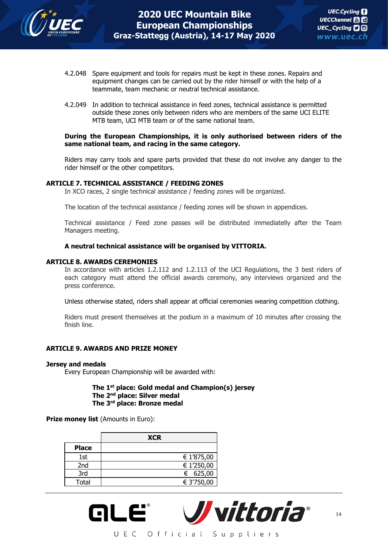

- 4.2.048 Spare equipment and tools for repairs must be kept in these zones. Repairs and equipment changes can be carried out by the rider himself or with the help of a teammate, team mechanic or neutral technical assistance.
- 4.2.049 In addition to technical assistance in feed zones, technical assistance is permitted outside these zones only between riders who are members of the same UCI ELITE MTB team, UCI MTB team or of the same national team.

### **During the European Championships, it is only authorised between riders of the same national team, and racing in the same category.**

Riders may carry tools and spare parts provided that these do not involve any danger to the rider himself or the other competitors.

### **ARTICLE 7. TECHNICAL ASSISTANCE / FEEDING ZONES**

In XCO races, 2 single technical assistance / feeding zones will be organized.

The location of the technical assistance / feeding zones will be shown in appendices.

Technical assistance / Feed zone passes will be distributed immediatelly after the Team Managers meeting.

### **A neutral technical assistance will be organised by VITTORIA.**

### **ARTICLE 8. AWARDS CEREMONIES**

In accordance with articles 1.2.112 and 1.2.113 of the UCI Regulations, the 3 best riders of each category must attend the official awards ceremony, any interviews organized and the press conference.

Unless otherwise stated, riders shall appear at official ceremonies wearing competition clothing.

Riders must present themselves at the podium in a maximum of 10 minutes after crossing the finish line.

### **ARTICLE 9. AWARDS AND PRIZE MONEY**

#### **Jersey and medals**

Every European Championship will be awarded with:

### **The 1st place: Gold medal and Champion(s) jersey The 2nd place: Silver medal The 3rd place: Bronze medal**

**Prize money list (Amounts in Euro):** 

|              | <b>XCR</b> |
|--------------|------------|
| <b>Place</b> |            |
| 1st          | € 1'875,00 |
| 2nd          | € 1'250,00 |
| 3rd          | € 625,00   |
| Total        | € 3'750,00 |